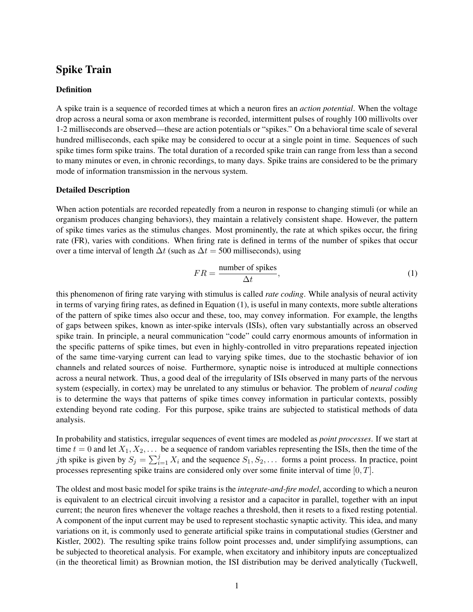# Spike Train

## Definition

A spike train is a sequence of recorded times at which a neuron fires an *action potential*. When the voltage drop across a neural soma or axon membrane is recorded, intermittent pulses of roughly 100 millivolts over 1-2 milliseconds are observed—these are action potentials or "spikes." On a behavioral time scale of several hundred milliseconds, each spike may be considered to occur at a single point in time. Sequences of such spike times form spike trains. The total duration of a recorded spike train can range from less than a second to many minutes or even, in chronic recordings, to many days. Spike trains are considered to be the primary mode of information transmission in the nervous system.

#### Detailed Description

When action potentials are recorded repeatedly from a neuron in response to changing stimuli (or while an organism produces changing behaviors), they maintain a relatively consistent shape. However, the pattern of spike times varies as the stimulus changes. Most prominently, the rate at which spikes occur, the firing rate (FR), varies with conditions. When firing rate is defined in terms of the number of spikes that occur over a time interval of length  $\Delta t$  (such as  $\Delta t = 500$  milliseconds), using

$$
FR = \frac{\text{number of spikes}}{\Delta t},\tag{1}
$$

this phenomenon of firing rate varying with stimulus is called *rate coding*. While analysis of neural activity in terms of varying firing rates, as defined in Equation (1), is useful in many contexts, more subtle alterations of the pattern of spike times also occur and these, too, may convey information. For example, the lengths of gaps between spikes, known as inter-spike intervals (ISIs), often vary substantially across an observed spike train. In principle, a neural communication "code" could carry enormous amounts of information in the specific patterns of spike times, but even in highly-controlled in vitro preparations repeated injection of the same time-varying current can lead to varying spike times, due to the stochastic behavior of ion channels and related sources of noise. Furthermore, synaptic noise is introduced at multiple connections across a neural network. Thus, a good deal of the irregularity of ISIs observed in many parts of the nervous system (especially, in cortex) may be unrelated to any stimulus or behavior. The problem of *neural coding* is to determine the ways that patterns of spike times convey information in particular contexts, possibly extending beyond rate coding. For this purpose, spike trains are subjected to statistical methods of data analysis.

In probability and statistics, irregular sequences of event times are modeled as *point processes*. If we start at time  $t = 0$  and let  $X_1, X_2, \ldots$  be a sequence of random variables representing the ISIs, then the time of the *j*th spike is given by  $S_j = \sum_{i=1}^j X_i$  and the sequence  $S_1, S_2, \ldots$  forms a point process. In practice, point processes representing spike trains are considered only over some finite interval of time  $[0, T]$ .

The oldest and most basic model for spike trains is the *integrate-and-fire model*, according to which a neuron is equivalent to an electrical circuit involving a resistor and a capacitor in parallel, together with an input current; the neuron fires whenever the voltage reaches a threshold, then it resets to a fixed resting potential. A component of the input current may be used to represent stochastic synaptic activity. This idea, and many variations on it, is commonly used to generate artificial spike trains in computational studies (Gerstner and Kistler, 2002). The resulting spike trains follow point processes and, under simplifying assumptions, can be subjected to theoretical analysis. For example, when excitatory and inhibitory inputs are conceptualized (in the theoretical limit) as Brownian motion, the ISI distribution may be derived analytically (Tuckwell,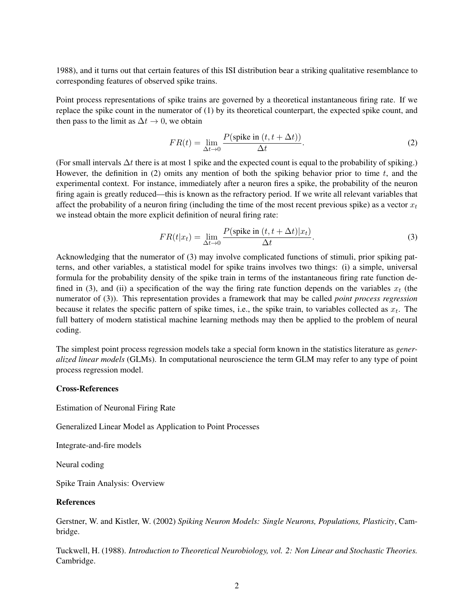1988), and it turns out that certain features of this ISI distribution bear a striking qualitative resemblance to corresponding features of observed spike trains.

Point process representations of spike trains are governed by a theoretical instantaneous firing rate. If we replace the spike count in the numerator of (1) by its theoretical counterpart, the expected spike count, and then pass to the limit as  $\Delta t \rightarrow 0$ , we obtain

$$
FR(t) = \lim_{\Delta t \to 0} \frac{P(\text{spike in } (t, t + \Delta t))}{\Delta t}.
$$
 (2)

(For small intervals  $\Delta t$  there is at most 1 spike and the expected count is equal to the probability of spiking.) However, the definition in  $(2)$  omits any mention of both the spiking behavior prior to time t, and the experimental context. For instance, immediately after a neuron fires a spike, the probability of the neuron firing again is greatly reduced—this is known as the refractory period. If we write all relevant variables that affect the probability of a neuron firing (including the time of the most recent previous spike) as a vector  $x_t$ we instead obtain the more explicit definition of neural firing rate:

$$
FR(t|x_t) = \lim_{\Delta t \to 0} \frac{P(\text{spike in } (t, t + \Delta t)|x_t)}{\Delta t}.
$$
 (3)

Acknowledging that the numerator of (3) may involve complicated functions of stimuli, prior spiking patterns, and other variables, a statistical model for spike trains involves two things: (i) a simple, universal formula for the probability density of the spike train in terms of the instantaneous firing rate function defined in (3), and (ii) a specification of the way the firing rate function depends on the variables  $x_t$  (the numerator of (3)). This representation provides a framework that may be called *point process regression* because it relates the specific pattern of spike times, i.e., the spike train, to variables collected as  $x_t$ . The full battery of modern statistical machine learning methods may then be applied to the problem of neural coding.

The simplest point process regression models take a special form known in the statistics literature as *generalized linear models* (GLMs). In computational neuroscience the term GLM may refer to any type of point process regression model.

## Cross-References

Estimation of Neuronal Firing Rate

Generalized Linear Model as Application to Point Processes

Integrate-and-fire models

Neural coding

Spike Train Analysis: Overview

#### References

Gerstner, W. and Kistler, W. (2002) *Spiking Neuron Models: Single Neurons, Populations, Plasticity*, Cambridge.

Tuckwell, H. (1988). *Introduction to Theoretical Neurobiology, vol. 2: Non Linear and Stochastic Theories.* Cambridge.